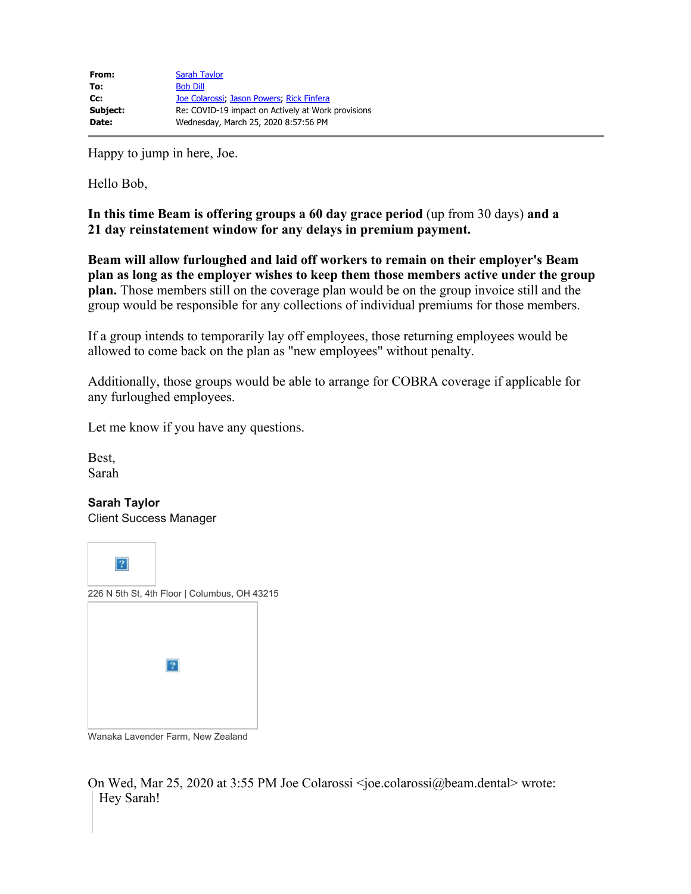Happy to jump in here, Joe.

Hello Bob,

**In this time Beam is offering groups a 60 day grace period** (up from 30 days) **and a 21 day reinstatement window for any delays in premium payment.**

**Beam will allow furloughed and laid off workers to remain on their employer's Beam plan as long as the employer wishes to keep them those members active under the group plan.** Those members still on the coverage plan would be on the group invoice still and the group would be responsible for any collections of individual premiums for those members.

If a group intends to temporarily lay off employees, those returning employees would be allowed to come back on the plan as "new employees" without penalty.

Additionally, those groups would be able to arrange for COBRA coverage if applicable for any furloughed employees.

Let me know if you have any questions.

Best, Sarah

**Sarah Taylor** Client Success Manager

 $\boldsymbol{?}$ 226 N 5th St, 4th Floor | Columbus, OH 43215  $|2|$ 

Wanaka Lavender Farm, New Zealand

On Wed, Mar 25, 2020 at 3:55 PM Joe Colarossi <joe.colarossi@beam.dental> wrote: Hey Sarah!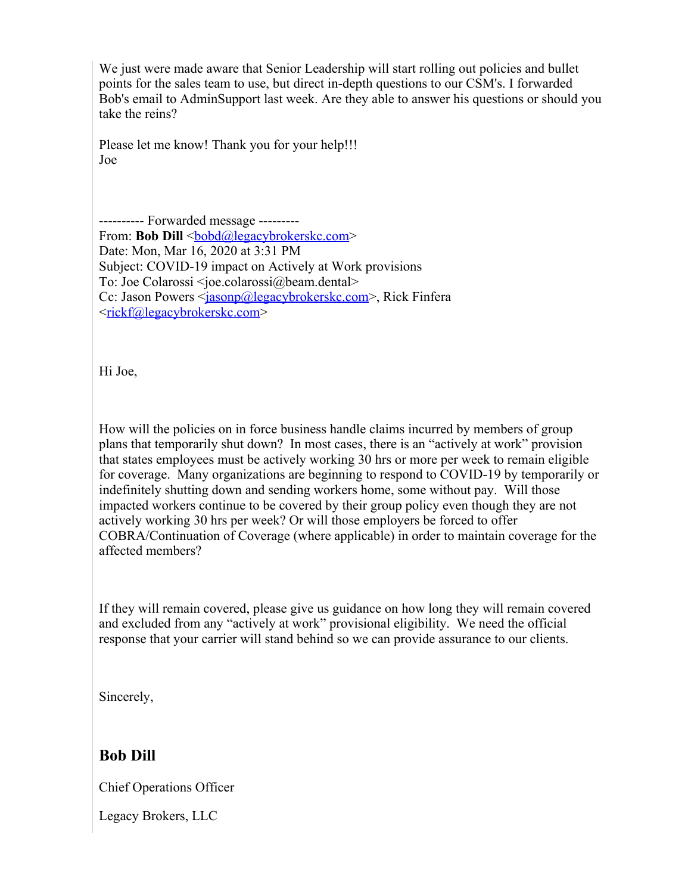We just were made aware that Senior Leadership will start rolling out policies and bullet points for the sales team to use, but direct in-depth questions to our CSM's. I forwarded Bob's email to AdminSupport last week. Are they able to answer his questions or should you take the reins?

Please let me know! Thank you for your help!!! Joe

---------- Forwarded message --------- From: **Bob Dill** <br/><u>bobd@legacybrokerskc.com</u>> Date: Mon, Mar 16, 2020 at 3:31 PM Subject: COVID-19 impact on Actively at Work provisions To: Joe Colarossi <joe.colarossi@beam.dental> Cc: Jason Powers <<u>jasonp@legacybrokerskc.com</u>>, Rick Finfera <[rickf@legacybrokerskc.com>](mailto:rickf@legacybrokerskc.com)

Hi Joe,

How will the policies on in force business handle claims incurred by members of group plans that temporarily shut down? In most cases, there is an "actively at work" provision that states employees must be actively working 30 hrs or more per week to remain eligible for coverage. Many organizations are beginning to respond to COVID-19 by temporarily or indefinitely shutting down and sending workers home, some without pay. Will those impacted workers continue to be covered by their group policy even though they are not actively working 30 hrs per week? Or will those employers be forced to offer COBRA/Continuation of Coverage (where applicable) in order to maintain coverage for the affected members?

If they will remain covered, please give us guidance on how long they will remain covered and excluded from any "actively at work" provisional eligibility. We need the official response that your carrier will stand behind so we can provide assurance to our clients.

Sincerely,

## **Bob Dill**

Chief Operations Officer

Legacy Brokers, LLC